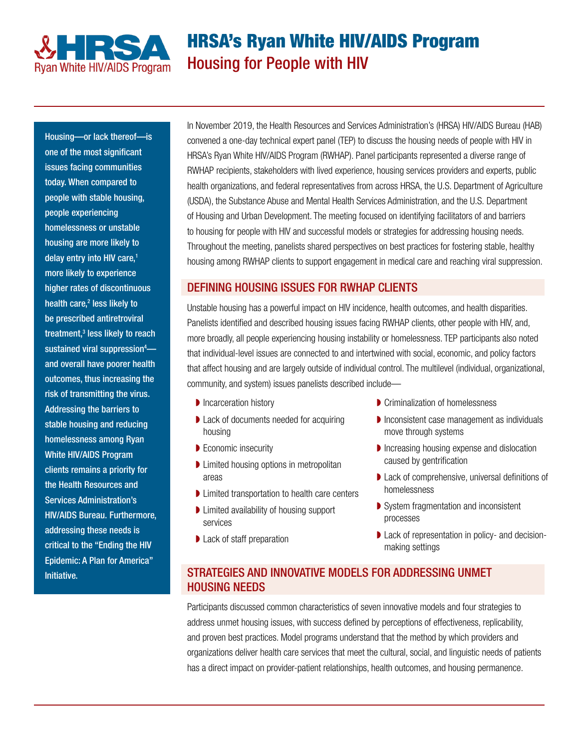

# HRSA's Ryan White HIV/AIDS Program Housing for People with HIV

Housing—or lack thereof—is one of the most significant issues facing communities today. When compared to people with stable housing, people experiencing homelessness or unstable housing are more likely to delay entry into HIV care, 1 more likely to experience higher rates of discontinuous health care,<sup>2</sup> less likely to be prescribed antiretroviral treatment, $3$  less likely to reach sustained viral suppression<sup>4</sup>and overall have poorer health outcomes, thus increasing the risk of transmitting the virus. Addressing the barriers to stable housing and reducing homelessness among Ryan White HIV/AIDS Program clients remains a priority for the Health Resources and Services Administration's HIV/AIDS Bureau. Furthermore, addressing these needs is critical to the "Ending the HIV Epidemic: A Plan for America" Initiative.

In November 2019, the Health Resources and Services Administration's (HRSA) HIV/AIDS Bureau (HAB) convened a one-day technical expert panel (TEP) to discuss the housing needs of people with HIV in HRSA's Ryan White HIV/AIDS Program (RWHAP). Panel participants represented a diverse range of RWHAP recipients, stakeholders with lived experience, housing services providers and experts, public health organizations, and federal representatives from across HRSA, the U.S. Department of Agriculture (USDA), the Substance Abuse and Mental Health Services Administration, and the U.S. Department of Housing and Urban Development. The meeting focused on identifying facilitators of and barriers to housing for people with HIV and successful models or strategies for addressing housing needs. Throughout the meeting, panelists shared perspectives on best practices for fostering stable, healthy housing among RWHAP clients to support engagement in medical care and reaching viral suppression.

## DEFINING HOUSING ISSUES FOR RWHAP CLIENTS

Unstable housing has a powerful impact on HIV incidence, health outcomes, and health disparities. Panelists identified and described housing issues facing RWHAP clients, other people with HIV, and, more broadly, all people experiencing housing instability or homelessness. TEP participants also noted that individual-level issues are connected to and intertwined with social, economic, and policy factors that affect housing and are largely outside of individual control. The multilevel (individual, organizational, community, and system) issues panelists described include—

- **▶ Incarceration history**
- ◗ Lack of documents needed for acquiring housing
- **▶ Economic insecurity**
- ◗ Limited housing options in metropolitan areas
- ◗ Limited transportation to health care centers
- ◗ Limited availability of housing support services
- ◗ Lack of staff preparation
- **▶ Criminalization of homelessness**
- ◗ Inconsistent case management as individuals move through systems
- ◗ Increasing housing expense and dislocation caused by gentrification
- ◗ Lack of comprehensive, universal definitions of homelessness
- ◗ System fragmentation and inconsistent processes
- Lack of representation in policy- and decisionmaking settings

# STRATEGIES AND INNOVATIVE MODELS FOR ADDRESSING UNMET HOUSING NEEDS

Participants discussed common characteristics of seven innovative models and four strategies to address unmet housing issues, with success defined by perceptions of effectiveness, replicability, and proven best practices. Model programs understand that the method by which providers and organizations deliver health care services that meet the cultural, social, and linguistic needs of patients has a direct impact on provider-patient relationships, health outcomes, and housing permanence.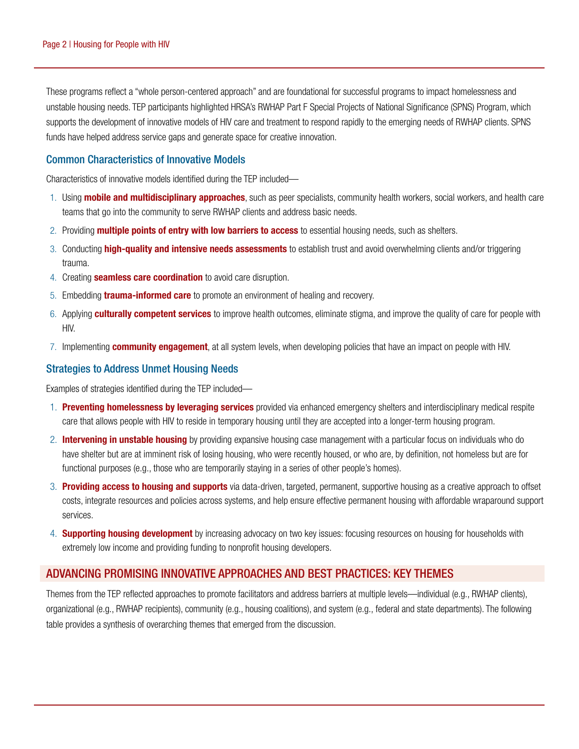These programs reflect a "whole person-centered approach" and are foundational for successful programs to impact homelessness and unstable housing needs. TEP participants highlighted HRSA's RWHAP Part F Special Projects of National Significance (SPNS) Program, which supports the development of innovative models of HIV care and treatment to respond rapidly to the emerging needs of RWHAP clients. SPNS funds have helped address service gaps and generate space for creative innovation.

#### Common Characteristics of Innovative Models

Characteristics of innovative models identified during the TEP included—

- 1. Using **mobile and multidisciplinary approaches**, such as peer specialists, community health workers, social workers, and health care teams that go into the community to serve RWHAP clients and address basic needs.
- 2. Providing **multiple points of entry with low barriers to access** to essential housing needs, such as shelters.
- 3. Conducting **high-quality and intensive needs assessments** to establish trust and avoid overwhelming clients and/or triggering trauma.
- 4. Creating **seamless care coordination** to avoid care disruption.
- 5. Embedding **trauma-informed care** to promote an environment of healing and recovery.
- 6. Applying **culturally competent services** to improve health outcomes, eliminate stigma, and improve the quality of care for people with HIV.
- 7. Implementing **community engagement**, at all system levels, when developing policies that have an impact on people with HIV.

#### Strategies to Address Unmet Housing Needs

Examples of strategies identified during the TEP included—

- 1. Preventing homelessness by leveraging services provided via enhanced emergency shelters and interdisciplinary medical respite care that allows people with HIV to reside in temporary housing until they are accepted into a longer-term housing program.
- 2. Intervening in unstable housing by providing expansive housing case management with a particular focus on individuals who do have shelter but are at imminent risk of losing housing, who were recently housed, or who are, by definition, not homeless but are for functional purposes (e.g., those who are temporarily staying in a series of other people's homes).
- 3. Providing access to housing and supports via data-driven, targeted, permanent, supportive housing as a creative approach to offset costs, integrate resources and policies across systems, and help ensure effective permanent housing with affordable wraparound support services.
- 4. **Supporting housing development** by increasing advocacy on two key issues: focusing resources on housing for households with extremely low income and providing funding to nonprofit housing developers.

## ADVANCING PROMISING INNOVATIVE APPROACHES AND BEST PRACTICES: KEY THEMES

Themes from the TEP reflected approaches to promote facilitators and address barriers at multiple levels—individual (e.g., RWHAP clients), organizational (e.g., RWHAP recipients), community (e.g., housing coalitions), and system (e.g., federal and state departments). The following table provides a synthesis of overarching themes that emerged from the discussion.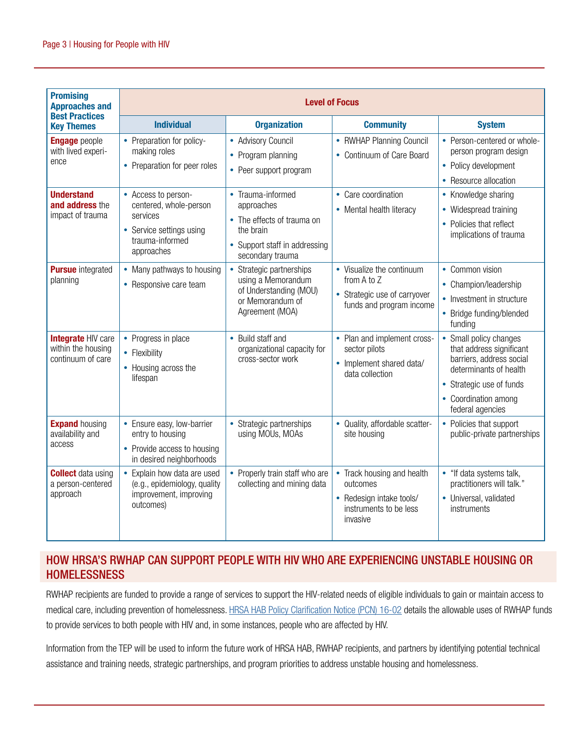| <b>Promising</b><br><b>Approaches and</b><br><b>Best Practices</b><br><b>Key Themes</b> | <b>Level of Focus</b>                                                                                                  |                                                                                                                                 |                                                                                                        |                                                                                                                                                                                                        |
|-----------------------------------------------------------------------------------------|------------------------------------------------------------------------------------------------------------------------|---------------------------------------------------------------------------------------------------------------------------------|--------------------------------------------------------------------------------------------------------|--------------------------------------------------------------------------------------------------------------------------------------------------------------------------------------------------------|
|                                                                                         | <b>Individual</b>                                                                                                      | <b>Organization</b>                                                                                                             | <b>Community</b>                                                                                       | <b>System</b>                                                                                                                                                                                          |
| <b>Engage</b> people<br>with lived experi-<br>ence                                      | • Preparation for policy-<br>making roles<br>• Preparation for peer roles                                              | • Advisory Council<br>• Program planning<br>• Peer support program                                                              | • RWHAP Planning Council<br>• Continuum of Care Board                                                  | • Person-centered or whole-<br>person program design<br>• Policy development<br>• Resource allocation                                                                                                  |
| <b>Understand</b><br>and address the<br>impact of trauma                                | • Access to person-<br>centered, whole-person<br>services<br>• Service settings using<br>trauma-informed<br>approaches | • Trauma-informed<br>approaches<br>• The effects of trauma on<br>the brain<br>• Support staff in addressing<br>secondary trauma | • Care coordination<br>• Mental health literacy                                                        | • Knowledge sharing<br>• Widespread training<br>• Policies that reflect<br>implications of trauma                                                                                                      |
| <b>Pursue</b> integrated<br>planning                                                    | • Many pathways to housing<br>• Responsive care team                                                                   | • Strategic partnerships<br>using a Memorandum<br>of Understanding (MOU)<br>or Memorandum of<br>Agreement (MOA)                 | • Visualize the continuum<br>from A to Z<br>• Strategic use of carryover<br>funds and program income   | • Common vision<br>Champion/leadership<br>• Investment in structure<br>• Bridge funding/blended<br>funding                                                                                             |
| <b>Integrate HIV care</b><br>within the housing<br>continuum of care                    | • Progress in place<br>• Flexibility<br>• Housing across the<br>lifespan                                               | • Build staff and<br>organizational capacity for<br>cross-sector work                                                           | • Plan and implement cross-<br>sector pilots<br>• Implement shared data/<br>data collection            | Small policy changes<br>$\bullet$<br>that address significant<br>barriers, address social<br>determinants of health<br>Strategic use of funds<br>$\bullet$<br>• Coordination among<br>federal agencies |
| <b>Expand housing</b><br>availability and<br>access                                     | • Ensure easy, low-barrier<br>entry to housing<br>• Provide access to housing<br>in desired neighborhoods              | • Strategic partnerships<br>using MOUs, MOAs                                                                                    | • Quality, affordable scatter-<br>site housing                                                         | Policies that support<br>public-private partnerships                                                                                                                                                   |
| <b>Collect</b> data using<br>a person-centered<br>approach                              | • Explain how data are used<br>(e.g., epidemiology, quality<br>improvement, improving<br>outcomes)                     | Properly train staff who are<br>collecting and mining data                                                                      | Track housing and health<br>outcomes<br>• Redesign intake tools/<br>instruments to be less<br>invasive | "If data systems talk,<br>practitioners will talk."<br>• Universal, validated<br>instruments                                                                                                           |

## HOW HRSA'S RWHAP CAN SUPPORT PEOPLE WITH HIV WHO ARE EXPERIENCING UNSTABLE HOUSING OR **HOMELESSNESS**

RWHAP recipients are funded to provide a range of services to support the HIV-related needs of eligible individuals to gain or maintain access to medical care, including prevention of homelessness. HRSA HAB Policy Clarification Notice (PCN) 16-02 details the allowable uses of RWHAP funds to provide services to both people with HIV and, in some instances, people who are affected by HIV.

Information from the TEP will be used to inform the future work of HRSA HAB, RWHAP recipients, and partners by identifying potential technical assistance and training needs, strategic partnerships, and program priorities to address unstable housing and homelessness.